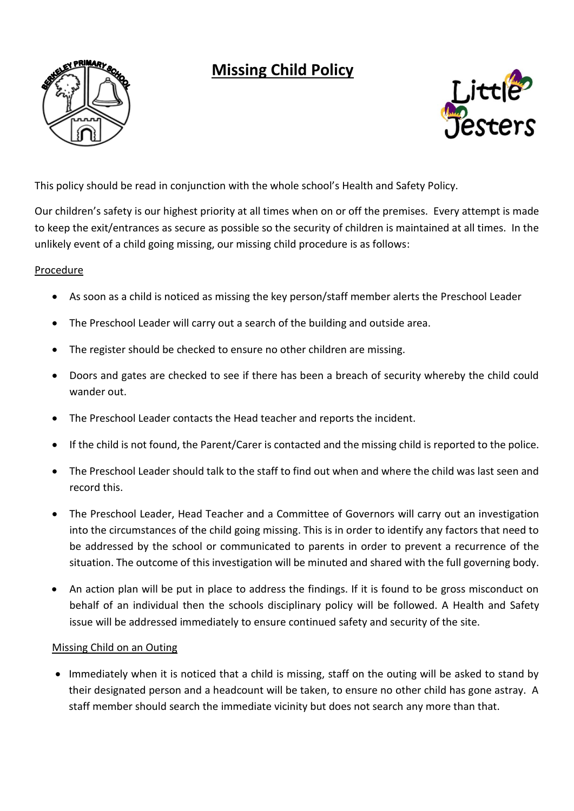## **Missing Child Policy**





This policy should be read in conjunction with the whole school's Health and Safety Policy.

Our children's safety is our highest priority at all times when on or off the premises. Every attempt is made to keep the exit/entrances as secure as possible so the security of children is maintained at all times. In the unlikely event of a child going missing, our missing child procedure is as follows:

## Procedure

- As soon as a child is noticed as missing the key person/staff member alerts the Preschool Leader
- The Preschool Leader will carry out a search of the building and outside area.
- The register should be checked to ensure no other children are missing.
- Doors and gates are checked to see if there has been a breach of security whereby the child could wander out.
- The Preschool Leader contacts the Head teacher and reports the incident.
- If the child is not found, the Parent/Carer is contacted and the missing child is reported to the police.
- The Preschool Leader should talk to the staff to find out when and where the child was last seen and record this.
- The Preschool Leader, Head Teacher and a Committee of Governors will carry out an investigation into the circumstances of the child going missing. This is in order to identify any factors that need to be addressed by the school or communicated to parents in order to prevent a recurrence of the situation. The outcome of this investigation will be minuted and shared with the full governing body.
- An action plan will be put in place to address the findings. If it is found to be gross misconduct on behalf of an individual then the schools disciplinary policy will be followed. A Health and Safety issue will be addressed immediately to ensure continued safety and security of the site.

## Missing Child on an Outing

 Immediately when it is noticed that a child is missing, staff on the outing will be asked to stand by their designated person and a headcount will be taken, to ensure no other child has gone astray. A staff member should search the immediate vicinity but does not search any more than that.